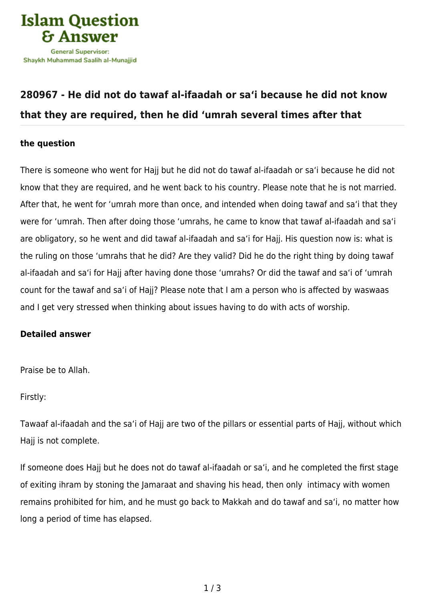

## **[280967 - He did not do tawaf al-ifaadah or sa'i because he did not know](https://islamqa.com/en/answers/280967/he-did-not-do-tawaf-al-ifaadah-or-sai-because-he-did-not-know-that-they-are-required-then-he-did-umrah-several-times-after-that) [that they are required, then he did 'umrah several times after that](https://islamqa.com/en/answers/280967/he-did-not-do-tawaf-al-ifaadah-or-sai-because-he-did-not-know-that-they-are-required-then-he-did-umrah-several-times-after-that)**

## **the question**

There is someone who went for Hajj but he did not do tawaf al-ifaadah or sa'i because he did not know that they are required, and he went back to his country. Please note that he is not married. After that, he went for 'umrah more than once, and intended when doing tawaf and sa'i that they were for 'umrah. Then after doing those 'umrahs, he came to know that tawaf al-ifaadah and sa'i are obligatory, so he went and did tawaf al-ifaadah and sa'i for Hajj. His question now is: what is the ruling on those 'umrahs that he did? Are they valid? Did he do the right thing by doing tawaf al-ifaadah and sa'i for Hajj after having done those 'umrahs? Or did the tawaf and sa'i of 'umrah count for the tawaf and sa'i of Hajj? Please note that I am a person who is affected by waswaas and I get very stressed when thinking about issues having to do with acts of worship.

## **Detailed answer**

Praise be to Allah.

Firstly:

Tawaaf al-ifaadah and the sa'i of Hajj are two of the pillars or essential parts of Hajj, without which Hajj is not complete.

If someone does Hajj but he does not do tawaf al-ifaadah or sa'i, and he completed the first stage of exiting ihram by stoning the Jamaraat and shaving his head, then only intimacy with women remains prohibited for him, and he must go back to Makkah and do tawaf and sa'i, no matter how long a period of time has elapsed.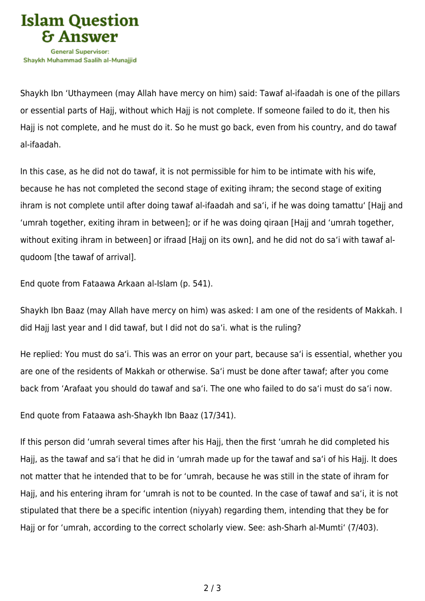

Shaykh Ibn 'Uthaymeen (may Allah have mercy on him) said: Tawaf al-ifaadah is one of the pillars or essential parts of Hajj, without which Hajj is not complete. If someone failed to do it, then his Hajj is not complete, and he must do it. So he must go back, even from his country, and do tawaf al-ifaadah.

In this case, as he did not do tawaf, it is not permissible for him to be intimate with his wife, because he has not completed the second stage of exiting ihram; the second stage of exiting ihram is not complete until after doing tawaf al-ifaadah and sa'i, if he was doing tamattu' [Hajj and 'umrah together, exiting ihram in between]; or if he was doing qiraan [Hajj and 'umrah together, without exiting ihram in between] or ifraad [Hajj on its own], and he did not do sa'i with tawaf alqudoom [the tawaf of arrival].

End quote from Fataawa Arkaan al-Islam (p. 541).

Shaykh Ibn Baaz (may Allah have mercy on him) was asked: I am one of the residents of Makkah. I did Hajj last year and I did tawaf, but I did not do sa'i. what is the ruling?

He replied: You must do sa'i. This was an error on your part, because sa'i is essential, whether you are one of the residents of Makkah or otherwise. Sa'i must be done after tawaf; after you come back from 'Arafaat you should do tawaf and sa'i. The one who failed to do sa'i must do sa'i now.

End quote from Fataawa ash-Shaykh Ibn Baaz (17/341).

If this person did 'umrah several times after his Hajj, then the first 'umrah he did completed his Hajj, as the tawaf and sa'i that he did in 'umrah made up for the tawaf and sa'i of his Hajj. It does not matter that he intended that to be for 'umrah, because he was still in the state of ihram for Hajj, and his entering ihram for 'umrah is not to be counted. In the case of tawaf and sa'i, it is not stipulated that there be a specific intention (niyyah) regarding them, intending that they be for Hajj or for 'umrah, according to the correct scholarly view. See: ash-Sharh al-Mumti' (7/403).